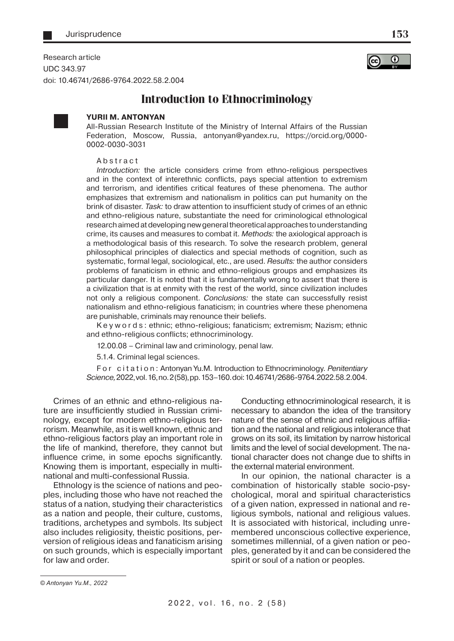Research article UDC 343.97 doi: 10.46741/2686-9764.2022.58.2.004



**153**

## **Introduction to Ethnocriminology**



## **YURII M. ANTONYAN**

All-Russian Research Institute of the Ministry of Internal Affairs of the Russian Federation, Moscow, Russia, antonyan@yandex.ru, https://orcid.org/0000- 0002-0030-3031

Abstract

Introduction: the article considers crime from ethno-religious perspectives and in the context of interethnic conflicts, pays special attention to extremism and terrorism, and identifies critical features of these phenomena. The author emphasizes that extremism and nationalism in politics can put humanity on the brink of disaster. Task: to draw attention to insufficient study of crimes of an ethnic and ethno-religious nature, substantiate the need for criminological ethnological research aimed at developing new general theoretical approaches to understanding crime, its causes and measures to combat it. Methods: the axiological approach is a methodological basis of this research. To solve the research problem, general philosophical principles of dialectics and special methods of cognition, such as systematic, formal legal, sociological, etc., are used. Results: the author considers problems of fanaticism in ethnic and ethno-religious groups and emphasizes its particular danger. It is noted that it is fundamentally wrong to assert that there is a civilization that is at enmity with the rest of the world, since civilization includes not only a religious component. Conclusions: the state can successfully resist nationalism and ethno-religious fanaticism; in countries where these phenomena are punishable, criminals may renounce their beliefs.

K e y w o r d s : ethnic; ethno-religious; fanaticism; extremism; Nazism; ethnic and ethno-religious conflicts; ethnocriminology.

12.00.08 – Criminal law and criminology, penal law.

5.1.4. Criminal legal sciences.

For citation: Antonyan Yu.M. Introduction to Ethnocriminology. Penitentiary Science, 2022, vol. 16, no. 2 (58), pp. 153–160. doi: 10.46741/2686-9764.2022.58.2.004.

Crimes of an ethnic and ethno-religious nature are insufficiently studied in Russian criminology, except for modern ethno-religious terrorism. Meanwhile, as it is well known, ethnic and ethno-religious factors play an important role in the life of mankind, therefore, they cannot but influence crime, in some epochs significantly. Knowing them is important, especially in multinational and multi-confessional Russia.

Ethnology is the science of nations and peoples, including those who have not reached the status of a nation, studying their characteristics as a nation and people, their culture, customs, traditions, archetypes and symbols. Its subject also includes religiosity, theistic positions, perversion of religious ideas and fanaticism arising on such grounds, which is especially important for law and order.

Conducting ethnocriminological research, it is necessary to abandon the idea of the transitory nature of the sense of ethnic and religious affiliation and the national and religious intolerance that grows on its soil, its limitation by narrow historical limits and the level of social development. The national character does not change due to shifts in the external material environment.

In our opinion, the national character is a combination of historically stable socio-psychological, moral and spiritual characteristics of a given nation, expressed in national and religious symbols, national and religious values. It is associated with historical, including unremembered unconscious collective experience, sometimes millennial, of a given nation or peoples, generated by it and can be considered the spirit or soul of a nation or peoples.

*<sup>©</sup> Antonyan Yu.M., 2022*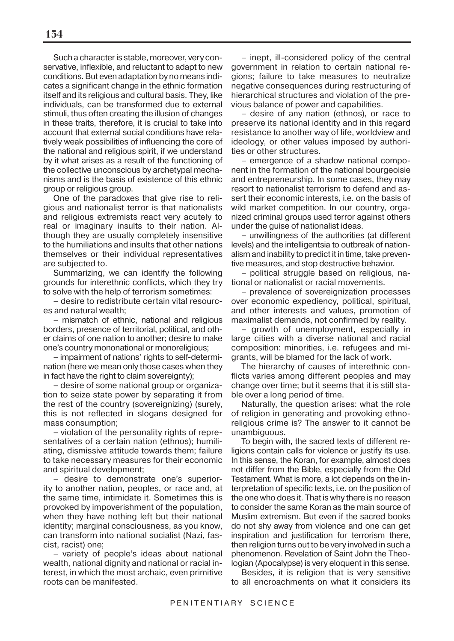Such a character is stable, moreover, very conservative, inflexible, and reluctant to adapt to new conditions. But even adaptation by no means indicates a significant change in the ethnic formation itself and its religious and cultural basis. They, like individuals, can be transformed due to external stimuli, thus often creating the illusion of changes in these traits, therefore, it is crucial to take into account that external social conditions have relatively weak possibilities of influencing the core of the national and religious spirit, if we understand by it what arises as a result of the functioning of the collective unconscious by archetypal mechanisms and is the basis of existence of this ethnic group or religious group.

One of the paradoxes that give rise to religious and nationalist terror is that nationalists and religious extremists react very acutely to real or imaginary insults to their nation. Although they are usually completely insensitive to the humiliations and insults that other nations themselves or their individual representatives are subjected to.

Summarizing, we can identify the following grounds for interethnic conflicts, which they try to solve with the help of terrorism sometimes:

– desire to redistribute certain vital resources and natural wealth;

– mismatch of ethnic, national and religious borders, presence of territorial, political, and other claims of one nation to another; desire to make one's country mononational or monoreligious;

– impairment of nations' rights to self-determination (here we mean only those cases when they in fact have the right to claim sovereignty);

– desire of some national group or organization to seize state power by separating it from the rest of the country (sovereignizing) (surely, this is not reflected in slogans designed for mass consumption;

– violation of the personality rights of representatives of a certain nation (ethnos); humiliating, dismissive attitude towards them; failure to take necessary measures for their economic and spiritual development;

– desire to demonstrate one's superiority to another nation, peoples, or race and, at the same time, intimidate it. Sometimes this is provoked by impoverishment of the population, when they have nothing left but their national identity; marginal consciousness, as you know, can transform into national socialist (Nazi, fascist, racist) one;

– variety of people's ideas about national wealth, national dignity and national or racial interest, in which the most archaic, even primitive roots can be manifested.

– inept, ill-considered policy of the central government in relation to certain national regions; failure to take measures to neutralize negative consequences during restructuring of hierarchical structures and violation of the previous balance of power and capabilities.

– desire of any nation (ethnos), or race to preserve its national identity and in this regard resistance to another way of life, worldview and ideology, or other values imposed by authorities or other structures.

– emergence of a shadow national component in the formation of the national bourgeoisie and entrepreneurship. In some cases, they may resort to nationalist terrorism to defend and assert their economic interests, i.e. on the basis of wild market competition. In our country, organized criminal groups used terror against others under the guise of nationalist ideas.

– unwillingness of the authorities (at different levels) and the intelligentsia to outbreak of nationalism and inability to predict it in time, take preventive measures, and stop destructive behavior.

– political struggle based on religious, national or nationalist or racial movements.

– prevalence of sovereignization processes over economic expediency, political, spiritual, and other interests and values, promotion of maximalist demands, not confirmed by reality.

– growth of unemployment, especially in large cities with a diverse national and racial composition: minorities, i.e. refugees and migrants, will be blamed for the lack of work.

The hierarchy of causes of interethnic conflicts varies among different peoples and may change over time; but it seems that it is still stable over a long period of time.

Naturally, the question arises: what the role of religion in generating and provoking ethnoreligious crime is? The answer to it cannot be unambiguous.

To begin with, the sacred texts of different religions contain calls for violence or justify its use. In this sense, the Koran, for example, almost does not differ from the Bible, especially from the Old Testament. What is more, a lot depends on the interpretation of specific texts, i.e. on the position of the one who does it. That is why there is no reason to consider the same Koran as the main source of Muslim extremism. But even if the sacred books do not shy away from violence and one can get inspiration and justification for terrorism there, then religion turns out to be very involved in such a phenomenon. Revelation of Saint John the Theologian (Apocalypse) is very eloquent in this sense.

Besides, it is religion that is very sensitive to all encroachments on what it considers its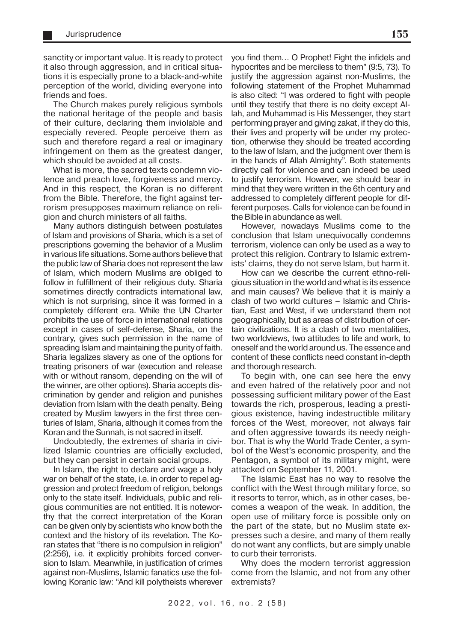sanctity or important value. It is ready to protect it also through aggression, and in critical situations it is especially prone to a black-and-white perception of the world, dividing everyone into friends and foes.

The Church makes purely religious symbols the national heritage of the people and basis of their culture, declaring them inviolable and especially revered. People perceive them as such and therefore regard a real or imaginary infringement on them as the greatest danger, which should be avoided at all costs.

What is more, the sacred texts condemn violence and preach love, forgiveness and mercy. And in this respect, the Koran is no different from the Bible. Therefore, the fight against terrorism presupposes maximum reliance on religion and church ministers of all faiths.

Many authors distinguish between postulates of Islam and provisions of Sharia, which is a set of prescriptions governing the behavior of a Muslim in various life situations. Some authors believe that the public law of Sharia does not represent the law of Islam, which modern Muslims are obliged to follow in fulfillment of their religious duty. Sharia sometimes directly contradicts international law, which is not surprising, since it was formed in a completely different era. While the UN Charter prohibits the use of force in international relations except in cases of self-defense, Sharia, on the contrary, gives such permission in the name of spreading Islam and maintaining the purity of faith. Sharia legalizes slavery as one of the options for treating prisoners of war (execution and release with or without ransom, depending on the will of the winner, are other options). Sharia accepts discrimination by gender and religion and punishes deviation from Islam with the death penalty. Being created by Muslim lawyers in the first three centuries of Islam, Sharia, although it comes from the Koran and the Sunnah, is not sacred in itself.

Undoubtedly, the extremes of sharia in civilized Islamic countries are officially excluded, but they can persist in certain social groups.

In Islam, the right to declare and wage a holy war on behalf of the state, i.e. in order to repel aggression and protect freedom of religion, belongs only to the state itself. Individuals, public and religious communities are not entitled. It is noteworthy that the correct interpretation of the Koran can be given only by scientists who know both the context and the history of its revelation. The Koran states that "there is no compulsion in religion" (2:256), i.e. it explicitly prohibits forced conversion to Islam. Meanwhile, in justification of crimes against non-Muslims, Islamic fanatics use the following Koranic law: "And kill polytheists wherever

you find them… O Prophet! Fight the infidels and hypocrites and be merciless to them" (9:5, 73). To justify the aggression against non-Muslims, the following statement of the Prophet Muhammad is also cited: "I was ordered to fight with people until they testify that there is no deity except Allah, and Muhammad is His Messenger, they start performing prayer and giving zakat, if they do this, their lives and property will be under my protection, otherwise they should be treated according to the law of Islam, and the judgment over them is in the hands of Allah Almighty". Both statements directly call for violence and can indeed be used to justify terrorism. However, we should bear in mind that they were written in the 6th century and addressed to completely different people for different purposes. Calls for violence can be found in the Bible in abundance as well.

However, nowadays Muslims come to the conclusion that Islam unequivocally condemns terrorism, violence can only be used as a way to protect this religion. Contrary to Islamic extremists' claims, they do not serve Islam, but harm it.

How can we describe the current ethno-religious situation in the world and what is its essence and main causes? We believe that it is mainly a clash of two world cultures – Islamic and Christian, East and West, if we understand them not geographically, but as areas of distribution of certain civilizations. It is a clash of two mentalities, two worldviews, two attitudes to life and work, to oneself and the world around us. The essence and content of these conflicts need constant in-depth and thorough research.

To begin with, one can see here the envy and even hatred of the relatively poor and not possessing sufficient military power of the East towards the rich, prosperous, leading a prestigious existence, having indestructible military forces of the West, moreover, not always fair and often aggressive towards its needy neighbor. That is why the World Trade Center, a symbol of the West's economic prosperity, and the Pentagon, a symbol of its military might, were attacked on September 11, 2001.

The Islamic East has no way to resolve the conflict with the West through military force, so it resorts to terror, which, as in other cases, becomes a weapon of the weak. In addition, the open use of military force is possible only on the part of the state, but no Muslim state expresses such a desire, and many of them really do not want any conflicts, but are simply unable to curb their terrorists.

Why does the modern terrorist aggression come from the Islamic, and not from any other extremists?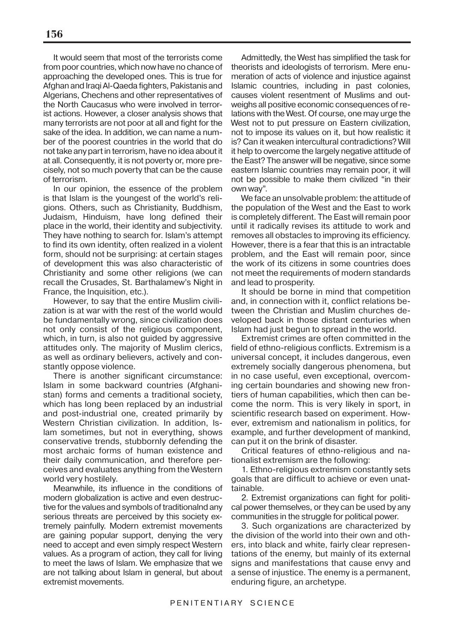It would seem that most of the terrorists come from poor countries, which now have no chance of approaching the developed ones. This is true for Afghan and Iraqi Al-Qaeda fighters, Pakistanis and Algerians, Chechens and other representatives of the North Caucasus who were involved in terrorist actions. However, a closer analysis shows that many terrorists are not poor at all and fight for the sake of the idea. In addition, we can name a number of the poorest countries in the world that do not take any part in terrorism, have no idea about it at all. Consequently, it is not poverty or, more precisely, not so much poverty that can be the cause of terrorism.

In our opinion, the essence of the problem is that Islam is the youngest of the world's religions. Others, such as Christianity, Buddhism, Judaism, Hinduism, have long defined their place in the world, their identity and subjectivity. They have nothing to search for. Islam's attempt to find its own identity, often realized in a violent form, should not be surprising: at certain stages of development this was also characteristic of Christianity and some other religions (we can recall the Crusades, St. Barthalamew's Night in France, the Inquisition, etc.).

However, to say that the entire Muslim civilization is at war with the rest of the world would be fundamentally wrong, since civilization does not only consist of the religious component, which, in turn, is also not guided by aggressive attitudes only. The majority of Muslim clerics, as well as ordinary believers, actively and constantly oppose violence.

There is another significant circumstance: Islam in some backward countries (Afghanistan) forms and cements a traditional society, which has long been replaced by an industrial and post-industrial one, created primarily by Western Christian civilization. In addition, Islam sometimes, but not in everything, shows conservative trends, stubbornly defending the most archaic forms of human existence and their daily communication, and therefore perceives and evaluates anything from the Western world very hostilely.

Meanwhile, its influence in the conditions of modern globalization is active and even destructive for the values and symbols of traditionalnd any serious threats are perceived by this society extremely painfully. Modern extremist movements are gaining popular support, denying the very need to accept and even simply respect Western values. As a program of action, they call for living to meet the laws of Islam. We emphasize that we are not talking about Islam in general, but about extremist movements.

Admittedly, the West has simplified the task for theorists and ideologists of terrorism. Mere enumeration of acts of violence and injustice against Islamic countries, including in past colonies, causes violent resentment of Muslims and outweighs all positive economic consequences of relations with the West. Of course, one may urge the West not to put pressure on Eastern civilization, not to impose its values on it, but how realistic it is? Can it weaken intercultural contradictions? Will it help to overcome the largely negative attitude of the East? The answer will be negative, since some eastern Islamic countries may remain poor, it will not be possible to make them civilized "in their own way".

We face an unsolvable problem: the attitude of the population of the West and the East to work is completely different. The East will remain poor until it radically revises its attitude to work and removes all obstacles to improving its efficiency. However, there is a fear that this is an intractable problem, and the East will remain poor, since the work of its citizens in some countries does not meet the requirements of modern standards and lead to prosperity.

It should be borne in mind that competition and, in connection with it, conflict relations between the Christian and Muslim churches developed back in those distant centuries when Islam had just begun to spread in the world.

Extremist crimes are often committed in the field of ethno-religious conflicts. Extremism is a universal concept, it includes dangerous, even extremely socially dangerous phenomena, but in no case useful, even exceptional, overcoming certain boundaries and showing new frontiers of human capabilities, which then can become the norm. This is very likely in sport, in scientific research based on experiment. However, extremism and nationalism in politics, for example, and further development of mankind, can put it on the brink of disaster.

Critical features of ethno-religious and nationalist extremism are the following:

1. Ethno-religious extremism constantly sets goals that are difficult to achieve or even unattainable.

2. Extremist organizations can fight for political power themselves, or they can be used by any communities in the struggle for political power.

3. Such organizations are characterized by the division of the world into their own and others, into black and white, fairly clear representations of the enemy, but mainly of its external signs and manifestations that cause envy and a sense of injustice. The enemy is a permanent, enduring figure, an archetype.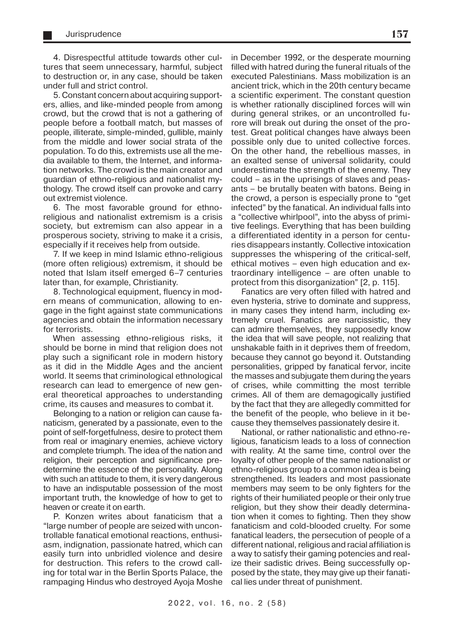4. Disrespectful attitude towards other cultures that seem unnecessary, harmful, subject to destruction or, in any case, should be taken under full and strict control.

5. Constant concern about acquiring supporters, allies, and like-minded people from among crowd, but the crowd that is not a gathering of people before a football match, but masses of people, illiterate, simple-minded, gullible, mainly from the middle and lower social strata of the population. To do this, extremists use all the media available to them, the Internet, and information networks. The crowd is the main creator and guardian of ethno-religious and nationalist mythology. The crowd itself can provoke and carry out extremist violence.

6. The most favorable ground for ethnoreligious and nationalist extremism is a crisis society, but extremism can also appear in a prosperous society, striving to make it a crisis, especially if it receives help from outside.

7. If we keep in mind Islamic ethno-religious (more often religious) extremism, it should be noted that Islam itself emerged 6–7 centuries later than, for example, Christianity.

8. Technological equipment, fluency in modern means of communication, allowing to engage in the fight against state communications agencies and obtain the information necessary for terrorists.

When assessing ethno-religious risks, it should be borne in mind that religion does not play such a significant role in modern history as it did in the Middle Ages and the ancient world. It seems that criminological ethnological research can lead to emergence of new general theoretical approaches to understanding crime, its causes and measures to combat it.

Belonging to a nation or religion can cause fanaticism, generated by a passionate, even to the point of self-forgetfulness, desire to protect them from real or imaginary enemies, achieve victory and complete triumph. The idea of the nation and religion, their perception and significance predetermine the essence of the personality. Along with such an attitude to them, it is very dangerous to have an indisputable possession of the most important truth, the knowledge of how to get to heaven or create it on earth.

P. Konzen writes about fanaticism that a "large number of people are seized with uncontrollable fanatical emotional reactions, enthusiasm, indignation, passionate hatred, which can easily turn into unbridled violence and desire for destruction. This refers to the crowd calling for total war in the Berlin Sports Palace, the rampaging Hindus who destroyed Ayoja Moshe

in December 1992, or the desperate mourning filled with hatred during the funeral rituals of the executed Palestinians. Mass mobilization is an ancient trick, which in the 20th century became a scientific experiment. The constant question is whether rationally disciplined forces will win during general strikes, or an uncontrolled furore will break out during the onset of the protest. Great political changes have always been possible only due to united collective forces. On the other hand, the rebellious masses, in an exalted sense of universal solidarity, could underestimate the strength of the enemy. They could – as in the uprisings of slaves and peasants – be brutally beaten with batons. Being in the crowd, a person is especially prone to "get infected" by the fanatical. An individual falls into a "collective whirlpool", into the abyss of primitive feelings. Everything that has been building a differentiated identity in a person for centuries disappears instantly. Collective intoxication suppresses the whispering of the critical-self, ethical motives – even high education and extraordinary intelligence – are often unable to protect from this disorganization" [2, p. 115].

Fanatics are very often filled with hatred and even hysteria, strive to dominate and suppress, in many cases they intend harm, including extremely cruel. Fanatics are narcissistic, they can admire themselves, they supposedly know the idea that will save people, not realizing that unshakable faith in it deprives them of freedom, because they cannot go beyond it. Outstanding personalities, gripped by fanatical fervor, incite the masses and subjugate them during the years of crises, while committing the most terrible crimes. All of them are demagogically justified by the fact that they are allegedly committed for the benefit of the people, who believe in it because they themselves passionately desire it.

National, or rather nationalistic and ethno-religious, fanaticism leads to a loss of connection with reality. At the same time, control over the loyalty of other people of the same nationalist or ethno-religious group to a common idea is being strengthened. Its leaders and most passionate members may seem to be only fighters for the rights of their humiliated people or their only true religion, but they show their deadly determination when it comes to fighting. Then they show fanaticism and cold-blooded cruelty. For some fanatical leaders, the persecution of people of a different national, religious and racial affiliation is a way to satisfy their gaming potencies and realize their sadistic drives. Being successfully opposed by the state, they may give up their fanatical lies under threat of punishment.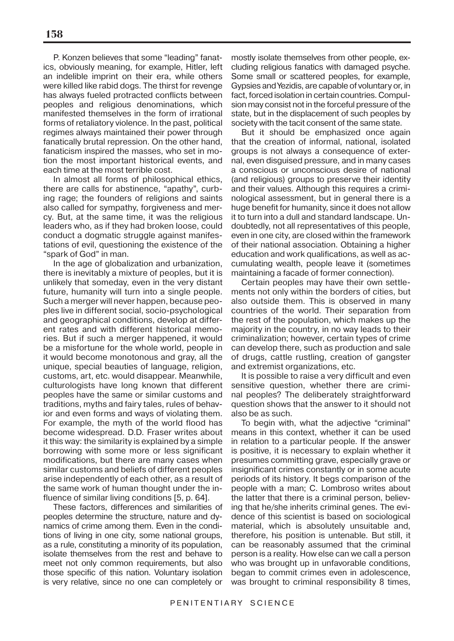P. Konzen believes that some "leading" fanatics, obviously meaning, for example, Hitler, left an indelible imprint on their era, while others were killed like rabid dogs. The thirst for revenge has always fueled protracted conflicts between peoples and religious denominations, which manifested themselves in the form of irrational forms of retaliatory violence. In the past, political regimes always maintained their power through fanatically brutal repression. On the other hand, fanaticism inspired the masses, who set in motion the most important historical events, and each time at the most terrible cost.

In almost all forms of philosophical ethics, there are calls for abstinence, "apathy", curbing rage; the founders of religions and saints also called for sympathy, forgiveness and mercy. But, at the same time, it was the religious leaders who, as if they had broken loose, could conduct a dogmatic struggle against manifestations of evil, questioning the existence of the "spark of God" in man.

In the age of globalization and urbanization, there is inevitably a mixture of peoples, but it is unlikely that someday, even in the very distant future, humanity will turn into a single people. Such a merger will never happen, because peoples live in different social, socio-psychological and geographical conditions, develop at different rates and with different historical memories. But if such a merger happened, it would be a misfortune for the whole world, people in it would become monotonous and gray, all the unique, special beauties of language, religion, customs, art, etc. would disappear. Meanwhile, culturologists have long known that different peoples have the same or similar customs and traditions, myths and fairy tales, rules of behavior and even forms and ways of violating them. For example, the myth of the world flood has become widespread. D.D. Fraser writes about it this way: the similarity is explained by a simple borrowing with some more or less significant modifications, but there are many cases when similar customs and beliefs of different peoples arise independently of each other, as a result of the same work of human thought under the influence of similar living conditions [5, p. 64].

These factors, differences and similarities of peoples determine the structure, nature and dynamics of crime among them. Even in the conditions of living in one city, some national groups, as a rule, constituting a minority of its population, isolate themselves from the rest and behave to meet not only common requirements, but also those specific of this nation. Voluntary isolation is very relative, since no one can completely or

mostly isolate themselves from other people, excluding religious fanatics with damaged psyche. Some small or scattered peoples, for example, Gypsies and Yezidis, are capable of voluntary or, in fact, forced isolation in certain countries. Compulsion may consist not in the forceful pressure of the state, but in the displacement of such peoples by society with the tacit consent of the same state.

But it should be emphasized once again that the creation of informal, national, isolated groups is not always a consequence of external, even disguised pressure, and in many cases a conscious or unconscious desire of national (and religious) groups to preserve their identity and their values. Although this requires a criminological assessment, but in general there is a huge benefit for humanity, since it does not allow it to turn into a dull and standard landscape. Undoubtedly, not all representatives of this people, even in one city, are closed within the framework of their national association. Obtaining a higher education and work qualifications, as well as accumulating wealth, people leave it (sometimes maintaining a facade of former connection).

Certain peoples may have their own settlements not only within the borders of cities, but also outside them. This is observed in many countries of the world. Their separation from the rest of the population, which makes up the majority in the country, in no way leads to their criminalization; however, certain types of crime can develop there, such as production and sale of drugs, cattle rustling, creation of gangster and extremist organizations, etc.

It is possible to raise a very difficult and even sensitive question, whether there are criminal peoples? The deliberately straightforward question shows that the answer to it should not also be as such.

To begin with, what the adjective "criminal" means in this context, whether it can be used in relation to a particular people. If the answer is positive, it is necessary to explain whether it presumes committing grave, especially grave or insignificant crimes constantly or in some acute periods of its history. It begs comparison of the people with a man; C. Lombroso writes about the latter that there is a criminal person, believing that he/she inherits criminal genes. The evidence of this scientist is based on sociological material, which is absolutely unsuitable and, therefore, his position is untenable. But still, it can be reasonably assumed that the criminal person is a reality. How else can we call a person who was brought up in unfavorable conditions, began to commit crimes even in adolescence, was brought to criminal responsibility 8 times,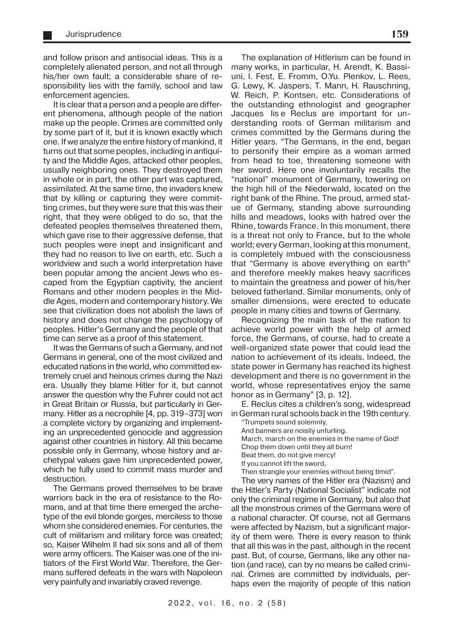and follow prison and antisocial ideas. This is a completely alienated person, and not all through his/her own fault; a considerable share of responsibility lies with the family, school and law enforcement agencies.

It is clear that a person and a people are different phenomena, although people of the nation make up the people. Crimes are committed only by some part of it, but it is known exactly which one. If we analyze the entire history of mankind, it turns out that some peoples, including in antiquity and the Middle Ages, attacked other peoples, usually neighboring ones. They destroyed them in whole or in part, the other part was captured, assimilated. At the same time, the invaders knew that by killing or capturing they were committing crimes, but they were sure that this was their right, that they were obliged to do so, that the defeated peoples themselves threatened them, which gave rise to their aggressive defense, that such peoples were inept and insignificant and they had no reason to live on earth, etc. Such a worldview and such a world interpretation have been popular among the ancient Jews who escaped from the Egyptian captivity, the ancient Romans and other modern peoples in the Middle Ages, modern and contemporary history. We see that civilization does not abolish the laws of history and does not change the psychology of peoples. Hitler's Germany and the people of that time can serve as a proof of this statement.

It was the Germans of such a Germany, and not Germans in general, one of the most civilized and educated nations in the world, who committed extremely cruel and heinous crimes during the Nazi era. Usually they blame Hitler for it, but cannot answer the question why the Fuhrer could not act in Great Britain or Russia, but particularly in Germany. Hitler as a necrophile [4, pp. 319–373] won a complete victory by organizing and implementing an unprecedented genocide and aggression against other countries in history. All this became possible only in Germany, whose history and archetypal values gave him unprecedented power, which he fully used to commit mass murder and destruction.

The Germans proved themselves to be brave warriors back in the era of resistance to the Romans, and at that time there emerged the archetype of the evil blonde gorges, merciless to those whom she considered enemies. For centuries, the cult of militarism and military force was created; so, Kaiser Wilhelm II had six sons and all of them were army officers. The Kaiser was one of the initiators of the First World War. Therefore, the Germans suffered defeats in the wars with Napoleon very painfully and invariably craved revenge.

The explanation of Hitlerism can be found in many works, in particular, H. Arendt, K. Bassiuni, I. Fest, E. Fromm, O.Yu. Plenkov, L. Rees, G. Lewy, K. Jaspers, T. Mann, H. Rauschning, W. Reich, P. Kontsen, etc. Considerations of the outstanding ethnologist and geographer Jacques lise Reclus are important for understanding roots of German militarism and crimes committed by the Germans during the Hitler years. "The Germans, in the end, began to personify their empire as a woman armed from head to toe, threatening someone with her sword. Here one involuntarily recalls the "national" monument of Germany, towering on the high hill of the Niederwald, located on the right bank of the Rhine. The proud, armed statue of Germany, standing above surrounding hills and meadows, looks with hatred over the Rhine, towards France. In this monument, there is a threat not only to France, but to the whole world; every German, looking at this monument, is completely imbued with the consciousness that "Germany is above everything on earth" and therefore meekly makes heavy sacrifices to maintain the greatness and power of his/her beloved fatherland. Similar monuments, only of smaller dimensions, were erected to educate people in many cities and towns of Germany.

Recognizing the main task of the nation to achieve world power with the help of armed force, the Germans, of course, had to create a well-organized state power that could lead the nation to achievement of its ideals. Indeed, the state power in Germany has reached its highest development and there is no government in the world, whose representatives enjoy the same honor as in Germany" [3, p. 12].

E. Reclus cites a children's song, widespread in German rural schools back in the 19th century.

"Trumpets sound solemnly,

And banners are noisily unfurling. March, march on the enemies in the name of God! Chop them down until they all burn! Beat them, do not give mercy! If you cannot lift the sword, Then strangle your enemies without being timid". The very names of the Hitler era (Nazism) and

the Hitler's Party (National Socialist" indicate not only the criminal regime in Germany, but also that all the monstrous crimes of the Germans were of a national character. Of course, not all Germans were affected by Nazism, but a significant majority of them were. There is every reason to think that all this was in the past, although in the recent past. But, of course, Germans, like any other nation (and race), can by no means be called criminal. Crimes are committed by individuals, perhaps even the majority of people of this nation